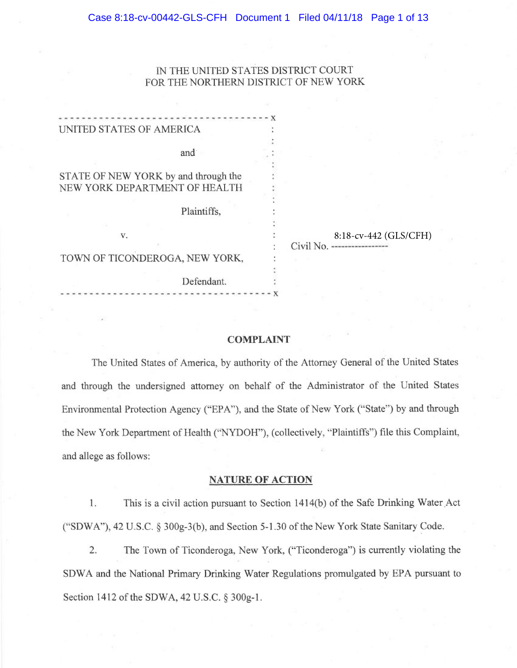# 1N THE UNITED STATES DISTRICT COURT FOR THE NORTHERN DISTRICT OF NEW YORK

| UNITED STATES OF AMERICA             |                        |
|--------------------------------------|------------------------|
|                                      |                        |
| and                                  |                        |
|                                      |                        |
| STATE OF NEW YORK by and through the |                        |
| NEW YORK DEPARTMENT OF HEALTH        |                        |
|                                      |                        |
| Plaintiffs,                          |                        |
|                                      |                        |
| V.                                   | 8:18-cv-442 (GLS/CFH)  |
|                                      | Civil No. ------------ |
| TOWN OF TICONDEROGA, NEW YORK,       |                        |
|                                      |                        |
| Defendant.                           |                        |
|                                      |                        |
|                                      |                        |

### COMPLAINT

The United States of America, by authority of the Attorney General of the United States and through the undersigned attorney on behalf of the Administrator of the United States Environmental Protection Agency ("EPA"), and the State of New York ("State") by and through the New York Department of Health ("NYDOH"), (collectively, "Plaintiffs") file this Complaint, and allege as follows:

### NATURE OF ACTION

1. This is a civil action pursuant to Section 1414(b) of the Safe Drinking Water,Act ("SDWA"), 42 U.S.C. § 300g-3(b), and Section 5-1.30 of the New York State Sanitary Code.

2. The Town of Ticonderoga, New York, ("Ticonderoga") is currently violating the SDWA and the National Primary Drinking Water Regulations promulgated by EPA pursuant to Section 1412 of the SDWA, 42 U.S.C. § 300g-1.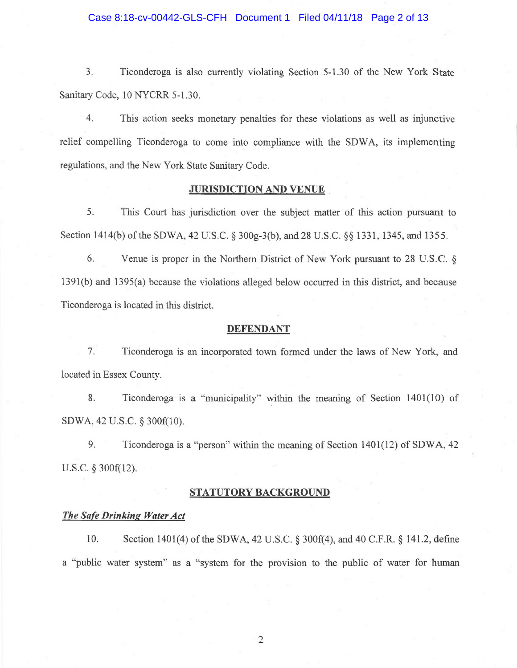### Case 8:18-cv-00442-GLS-CFH Document 1 Filed 04/11/18 Page 2 of 13

3. Ticonderoga is also currently violating Section 5-1.30 of the New York State Sanitary Code, 10 NYCRR 5-1.30

4. This action seeks monetary penalties for these violations as well as injunctive relief compelling Ticonderoga to come into compliance with the SDWA, its implementing regulations, and the New York State Sanitary Code.

#### JURISDICTION AND VENUE

5. This Court has jurisdiction over the subject matter of this action pursuant to Section 1414(b) of the SDWA, 42 U:S.C. § 300g-3(b), and 28 U.S.C. §§ 1331, 1345, and 1355.

6. Venue is proper in the Northern District of New York pursuant to 28 U.S.C. § 1391(b) and 1395(a) because the violations alleged below occurred in this district, and because Ticonderoga is located in this district.

#### DEFENDANT

7. Ticonderoga is an incorporated town formed under the laws of New York, and located in Essex County.

8. Ticonderoga is a "municipality" within the meaning of Section 1401(10) of SDWA, 42 U.S.C. § 300f(10).

9. Ticonderoga is a "person" within the meaning of Section 1401(12) of SDWA, 42 U.S.C. § 300f(12).

# STATUTORY BACKGROUND

## The Safe Drinking Water Act

10. Section 1401(4) of the SDWA, 42 U.S.C. § 300f(4), and 40 C.F.R. § 141.2, define a "public water system" as a "system for the provision to the public of water for human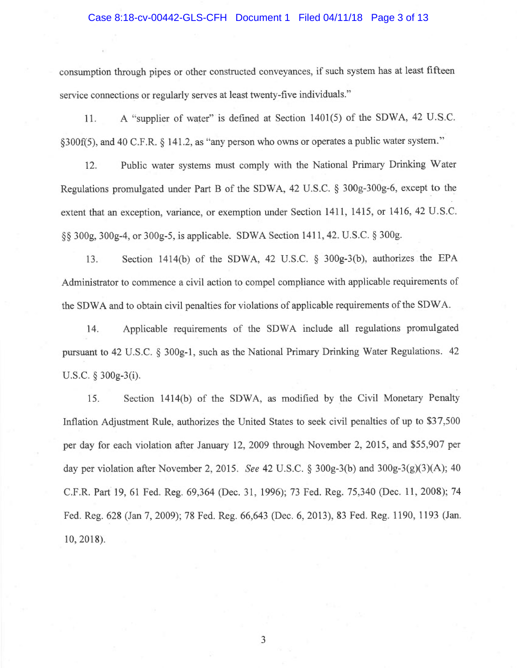#### Case 8:18-cv-00442-GLS-CFH Document 1 Filed 04/11/18 Page 3 of 13

consumption through pipes or other constructed conveyances, if such system has at least fifteen <sup>s</sup>ervice connections or regularly serves at least twenty-five individuals."

11. 1. A "supplier of water" is defined at Section 1401(5) of the SDWA, 42 U.S.C. §300f(5), and 40 C.F.R. § 141.2, as "any person who owns or operates a public water system."

<sup>1</sup>2. Public water systems must comply with the National Primary Drinking Water <sup>R</sup>egulations promulgated under Part B of the SDWA, 42 U.S.C. § 300g-300g-6, except to the <sup>e</sup>xtent that an exception, variance, or exemption under Section 1411, 1415, or 1416, 42 U.S.C. §§ 300g, 300g-4, or 300g-S, is applicable. SDWA Section 1411, 42. U.S.C. § 300g.

13. Section 1414(b) of the SDWA, 42 U.S.C. § 300g-3(b), authorizes the EPA <sup>A</sup>dministrator to commence a civil action to compel compliance with applicable requirements of <sup>t</sup>he SDWA and to obtain civil penalties for violations of applicable requirements of the SDWA.

<sup>1</sup>4. Applicable requirements of the SDWA include all regulations promulgated <sup>p</sup>ursuant to 42 U.S.C. § 300g-1, such as the National Primary Drinking Water Regulations. <sup>42</sup> <sup>U</sup>.S.C. § 300g-3(i).

15. Section 1414(b) of the SDWA, as modified by the Civil Monetary Penalty <sup>I</sup>nflation Adjustment Rule, authorizes the United States to seek civil penalties of up to \$37,500 <sup>p</sup>er day for each violation after January 12, 2009 through November 2, 2015, and \$55,907 per day per violation after November 2, 2015. See 42 U.S.C.  $\S 300g-3(b)$  and  $300g-3(g)(3)(A)$ ; 40 C.F.R. Part 19, 61 Fed. Reg. 69,364 (Dec. 31, 1996); 73 Fed. Reg. 75,340 (Dec. 1l, 2008); 74 <sup>F</sup>ed. Reg. 628 (Jan 7, 2009); 78 Fed. Reg. 66,643 (Dec. 6, 2013), 83 Fed. Reg. 1190, 1193 (Jan. 10, 2018).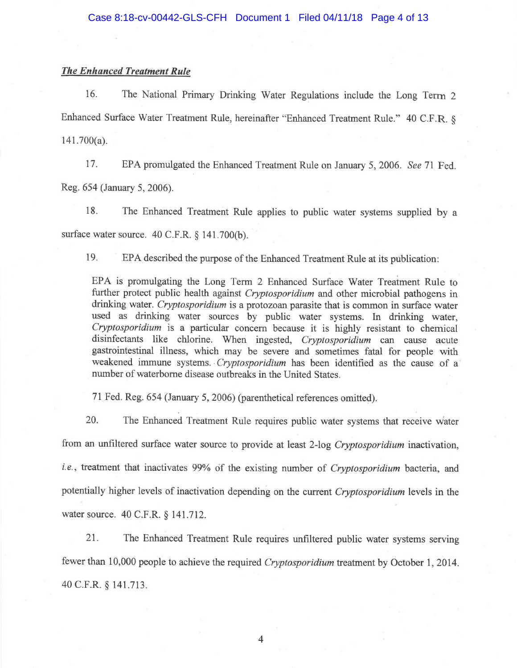# The Enhanced Treatment Rule

<sup>1</sup>6. The National Primary Drinking Water Regulations include the Long Term <sup>2</sup> <sup>E</sup>nhanced Surface Water Treatment Rule, hereinafter "Enhanced Treatment Rule." 40 C.F.R. § 141.700(a).

<sup>1</sup>7. EPA promulgated the Enhanced Treatment Rule on January 5, 2006. See 71 Fed. Reg. 654 (January 5, 2006).

<sup>1</sup>8. The Enhanced Treatment Rule applies to public water systems supplied by <sup>a</sup> <sup>s</sup>urface water source. 40 C.F.R. § 141.700(b).

<sup>1</sup>9. EPA described the purpose of the Enhanced Treatment Rule at its publication:

EPA is promulgating the Long Term 2 Enhanced Surface Water Treatment Rule to further protect public health against *Cryptosporidium* and other microbial pathogens in drinking water. Cryptosporidium is a protozoan parasite that is common in surface water <sup>u</sup>sed as drinking water sources by public water systems. In drinking water, <sup>C</sup>ryptosporidium is a particular concern because it is highly resistant to chemical <sup>d</sup>isinfectants like chlorine. When ingested, Cryptosporidium can cause acute <sup>g</sup>astrointestinal illness, which may be severe and sometimes fatal for people with <sup>w</sup>eakened immune systems. Cryptosporidium has been identified as the cause of <sup>a</sup> <sup>n</sup>umber of waterborne disease outbreaks in the United States.

<sup>7</sup>1 Fed. Reg. 654 (January 5, 2006) (parenthetical references omitted).

<sup>2</sup>0. The Enhanced Treatment Rule requires public water systems that receive water from an unfiltered surface water source to provide at least 2-log Cryptosporidium inactivation, <sup>i</sup>.e., treatment that inactivates 99% of the existing number of Cryptosporidium bacteria, and <sup>p</sup>otentially higher levels of inactivation depending on the current Cryptosporidium levels in the <sup>w</sup>ater source. 40 C.F.R. § 141.712.

<sup>2</sup>1. The Enhanced Treatment Rule requires unfiltered public water systems serving <sup>f</sup>ewer than 10,000 people to achieve the required Cryptosporidium treatment by October 1, 2014. 40 C.F.R. § 141.713.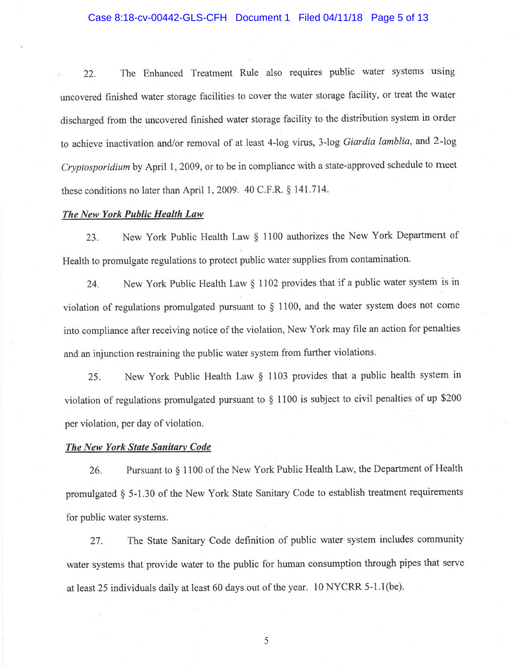#### Case 8:18-cv-00442-GLS-CFH Document 1 Filed 04/11/18 Page 5 of 13

22. The Enhanced Treatment Rule also requires public water systems using <sup>u</sup>ncovered finished water storage facilities to cover the water storage facility, or treat the water <sup>d</sup>ischarged from the uncovered finished water storage facility to the distribution system in order <sup>t</sup>o achieve inactivation and/or removal of at least 4-log virus, 3-log Giardia lamblia, and 2-log Cryptosporidium by April 1, 2009, or to be in compliance with a state-approved schedule to meet <sup>t</sup>hese conditions no later than April 1, 2009. 40 C.F.R. § 141.714.

### The New York Public Health Law

<sup>2</sup>3. New York Public Health Law § 1100 authorizes the New York Department of <sup>H</sup>ealth to promulgate regulations to protect public water supplies from contamination.

<sup>2</sup>4. New York Public Health Law § 1102 provides that if a public water system is in <sup>v</sup>iolation of regulations promulgated pursuant to § 1100, and the water system does not come <sup>i</sup>nto compliance after receiving notice of the violation, New York may file an action for penalties <sup>a</sup>nd an injunction restraining the public water system from further violations.

<sup>2</sup>5. New York Public Health Law § 1103 provides that a public health system in <sup>v</sup>iolation of regulations promulgated pursuant to § 1100 is subject to civil penalties of up \$200 <sup>p</sup>er violation, per day of violation.

#### <sup>T</sup>he New York State Sanitary Code

<sup>2</sup>6. Pursuant to § 1100 of the New York Public Health Law, the Department of Health <sup>p</sup>romulgated § 5-1.30 of the New York State Sanitary Code to establish treatment requirements for public water systems.

<sup>2</sup>7. The State Sanitary Code definition of public water system includes community <sup>w</sup>ater systems that provide water to the public for human consumption through pipes that serve <sup>a</sup>t least 25 individuals daily at least 60 days out of the year. 10 NYCRR 5-1.1(be).

E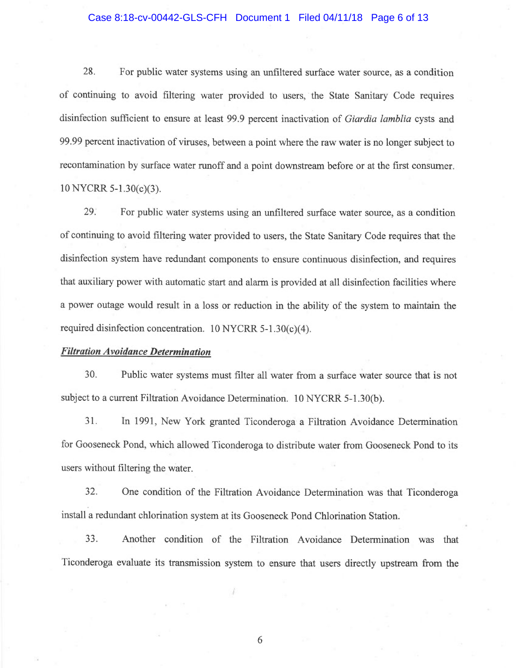### Case 8:18-cv-00442-GLS-CFH Document 1 Filed 04/11/18 Page 6 of 13

28. For public water systems using an unfiltered surface water source, as a condition <sup>o</sup>f continuing to avoid filtering water provided to users, the State Sanitary Code requires <sup>d</sup>isinfection sufficient to ensure at least 99.9 percent inactivation of Giardia lamblia cysts an<sup>d</sup> 99.99 percent inactivation of viruses, between a point where the raw water is no longer subject to <sup>r</sup>econtamination by surface water runoff and a point downstream before or at the first consumer. 10 NYCRR 5-1.30(c)(3).

29: For public water systems using an unfiltered surface water source, as a condition <sup>o</sup>f continuing to avoid filtering water provided to users, the State Sanitary Code requires that the <sup>d</sup>isinfection system have redundant components to ensure continuous disinfection, and requires <sup>t</sup>hat auxiliary power with automatic start and alarm is provided at all disinfection facilities where <sup>a</sup> power outage would result in a loss or reduction in the ability of the system to maintain the <sup>r</sup>equired disinfection concentration. 10 NYCRR 5-1.30(c)(4).

### Filtration Avoidance Determination

30. Public water systems must filter all water from a surface water source that is not <sup>s</sup>ubject to a current Filtration Avoidance Determination. 10 NYCRR 5-1.30(b).

31. In 1991, New York granted Ticonderoga a Filtration Avoidance Determination <sup>f</sup>or Gooseneck Pond, which allowed Ticonderoga to distribute water from Gooseneck Pond to its <sup>u</sup>sers without filtering the water.

32. One condition of the Filtration Avoidance Determination was that Ticonderoga install a redundant chlorination system at its Gooseneck Pond Chlorination Station.

33. Another condition of the Filtration Avoidance Determination was that <sup>T</sup>iconderoga evaluate its transmission system to ensure that users directly upstream from the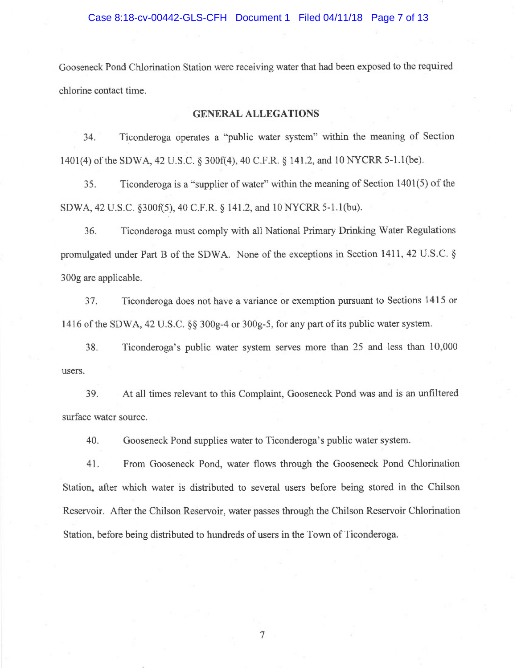Gooseneck Pond Chlorination Station were receiving water that had been exposed to the required chlorine contact time.

# GENERAL ALLEGATIONS

34. Ticonderoga operates a "public water system" within the meaning of Section 1401(4) of the SDWA, 42 U.S.C. § 300f(4), 40 C.F.R. § 141.2, and 10 NYCRR 5-1.1(be).

35. Ticonderoga is a "supplier of water" within the meaning of Section 1401(5) of the SDWA, 42 U.S.C. §300f(5), 40 C.F.R. § 141.2, and 10 NYCRR 5-1.1(bu):

36. Ticonderoga must comply with all National Primary Drinking Water Regulations promulgated under Part B of the SDWA. None of the exceptions in Section 1411, 42 U.S.C. § 300g are applicable.

37. Ticonderoga does not have a variance or exemption pursuant to Sections 1415 or 1416 of the SDWA, 42 U.S.C. §§ 300g-4 or 300g-5, for any part of its public water system.

38. Ticonderoga's public water system serves more than 25 and less than 10,000 users.

39. At all times relevant to this Complaint, Gooseneck Pond was and is an unfiltered surface water source.

40. Gooseneck Pond supplies water to Ticonderoga's public water system.

41. From Gooseneck Pond, water flows through the Gooseneck Pond Chlorination Station, after which water is distributed to several users before being stored in the Chilson Reservoir. After the Chilson Reservoir, water passes through the Chilson Reservoir Chlorination Station, before being distributed to hundreds of users in the Town of Ticonderoga.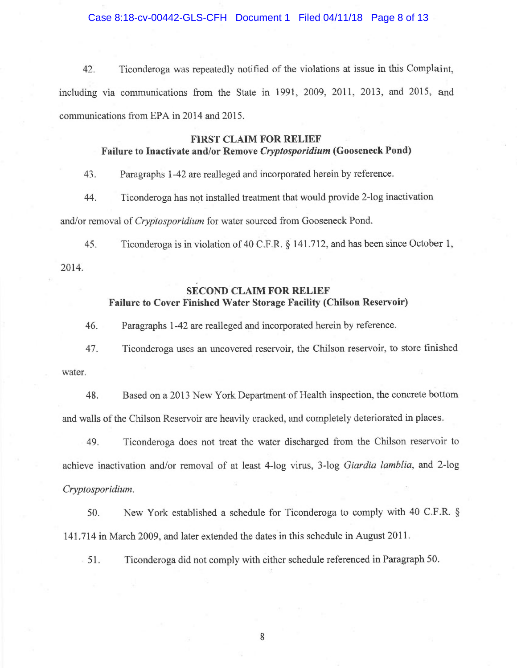Case 8:18-cv-00442-GLS-CFH Document 1 Filed 04/11/18 Page 8 of 13

42. Ticonderoga was repeatedly notified of the violations at issue in this Complaint, including via communications from the State in 1991, 2009, 2011, 2013, and 2015, and <sup>c</sup>ommunications from EPA in 2014 and 2015.

# FIRST CLAIM FOR RELIEF

# <sup>F</sup>ailure to Inactivate and/or Remove Cryptosporidium (Gooseneck Pond)

<sup>4</sup>3. Paragraphs 1-42 are realleged and incorporated herein by reference.

<sup>4</sup>4. Ticonderoga has not installed treatment that would provide 2-log inactivation <sup>a</sup>nd/or removal of Cryptosporidium for water sourced from Gooseneck Pond.

<sup>4</sup>5. Ticonderoga is in violation of 40 C.F.R. § 141.712, and has been since October 1,

2014.

# SECOND CLAIM FOR RELIEF <sup>F</sup>ailure to Cover Finished Water Storage Facility (Chilson Reservoir)

46. Paragraphs 1-42 are realleged and incorporated herein by reference.

<sup>4</sup>7. Ticonderoga uses an uncovered reservoir, the Chilson reservoir, to store finished water.

48. Based on a 2013 New York Department of Health inspection, the concrete bottom <sup>a</sup>nd walls of the Chilson Reservoir are heavily cracked, and completely deteriorated in places.

<sup>4</sup>9. Ticonderoga does not treat the water discharged from the Chilson reservoir to <sup>a</sup>chieve inactivation and/or removal of at least 4-log virus, 3-log Giardia lamblia, and 2-log Cryptosporidium.

50. New York established a schedule for Ticonderoga to comply with 40 C.F.R. § 141.714 in March 2009, and later extended the dates in this schedule in August 2011.

<sup>5</sup>1. Ticonderoga did not comply with either schedule referenced in Paragraph 50.

~~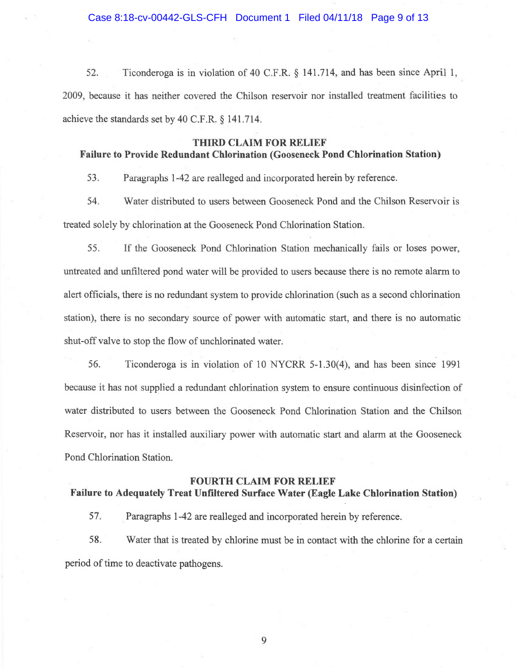52. Ticonderoga is in violation of 40 C.F.R. § 141.714, and has been since April 1, 2009, because it has neither covered the Chilson reservoir nor installed treatment facilities to achieve the standards set by 40 C.F.R. § 141.714.

# THIRD CLAIM FOR RELIEF Failure to Provide Redundant Chlorination (Gooseneck Pond Chlorination Station)

53. Paragraphs 1-42 are realleged and incorporated herein by reference.

54. Water distributed to users between Gooseneck Pond and the Chilson Reservoir is treated solely by chlorination at the Gooseneck Pond Chlorination Station.

55. If the Gooseneck Pond Chlorination Station mechanically fails or loses power, untreated and unfiltered pond water will be provided to users because there is no remote alarm to alert officials, there is no redundant system to provide chlorination (such as a second chlorination station), there is no secondary source of power with automatic start, and there is no automatic shut-off valve to stop the flow of unchlorinated water.

56. Ticonderoga is in violation of 10 NYCRR 5-1.30(4), and has been since 1991 because it has not supplied a redundant chlorination system to ensure continuous disinfection of water distributed to users between the Gooseneck Pond Chlorination Station and the Chilson Reservoir, nor has it installed auxiliary power with automatic start and alarm at the Gooseneck Pond Chlorination Station.

#### FOURTH CLAIM FOR RELIEF

# Failure to Adequately Treat Unfiltered Surface Water (Eagle Lake Chlorination Station)

57. Paragraphs 1-42 are realleged and incorporated herein by reference.

58. Water that is treated by chlorine must be in contact with the chlorine for a certain period of time to deactivate pathogens.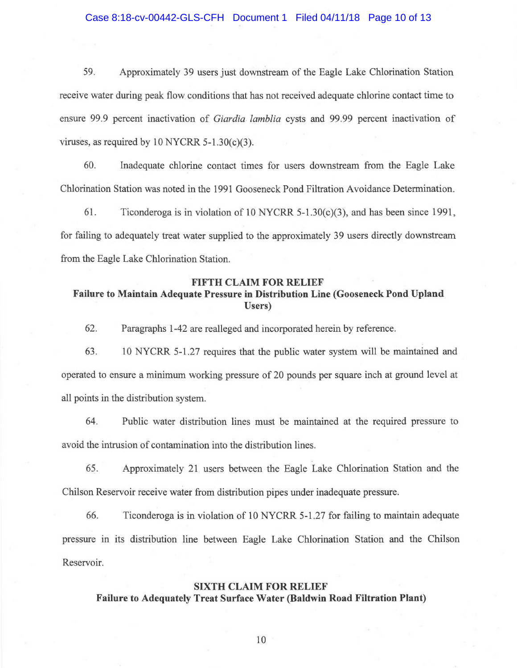59. Approximately 39 users just downstream of the Eagle Lake Chlorination Station receive water during peak flow. conditions that has not received adequate chlorine contact time to ensure 99.9 percent inactivation of Giardia lamblia cysts and 99.99 percent inactivation of viruses, as required by  $10$  NYCRR 5-1.30(c)(3).

60. Inadequate chlorine contact times for users downstream from the Eagle Lake Chlorination Station was noted in the 1991 Gooseneck Pond Filtration Avoidance Determination.

61. Ticonderoga is in violation of 10 NYCRR 5-130(c)(3), and has been since 1991, for failing to adequately treat water supplied to the approximately 39 users directly downstream from the Eagle Lake Chlorination Station.

## FIFTH CLAIM FOR RELIEF

# Failure to Maintain Adequate Pressure in Distribution Line (Gooseneck Pond Upland Users)

62. Paragraphs 1-42 are realleged and incorporated herein by reference.

63. 10 NYCRR 5-1.27 requires that the public water system will be maintained and operated to ensure a minimum working pressure of 20 pounds per square inch at ground level at all points in the distribution system.

64. Public water distribution lines must be maintained at the required pressure to avoid the intrusion of contamination into the distribution lines.

65. Approximately 21 users between the Eagle Lake Chlorination Station and the Chilson Reservoir receive water from distribution pipes under inadequate pressure.

66. Ticonderoga is in violation of 10 NYCRR 5-1.27 for failing to maintain adequate pressure in its distribution line between Eagle Lake Chlorination Station and the Chilson Reservoir.

# SIXTH CLAIM FOR RELIEF

# Failure to Adequately Treat Surface Water (Baldwin Road Filtration Plant)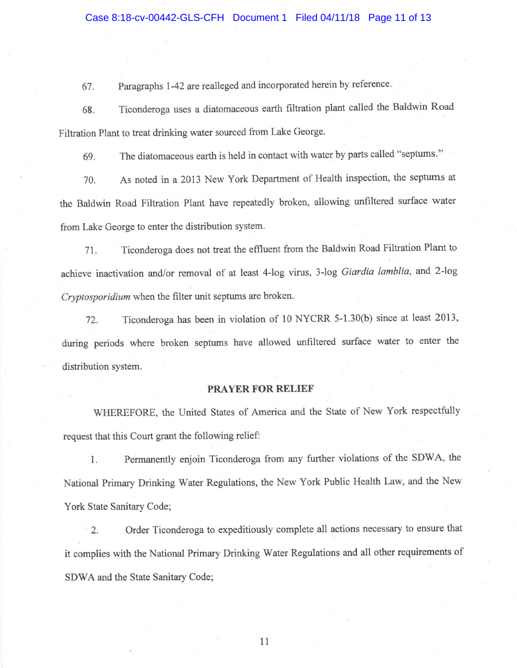# Case 8:18-cv-00442-GLS-CFH Document 1 Filed 04/11/18 Page 11 of 13

67. Paragraphs 1-42 are realleged and incorporated herein by reference.

<sup>6</sup>8. Ticonderoga uses <sup>a</sup>diatomaceous earth filtration plant called the Baldwin Road <sup>F</sup>iltration Plant to treat drinking water sourced from Lake George.

<sup>6</sup>9. The diatomaceous earth is held in contact with water by parts called "septums."

<sup>7</sup>0. As noted in a 2013 New York Department of Health inspection, the septums at <sup>t</sup>he Baldwin Road Filtration Plant have repeatedly broken, allowing unfiltered surface water from Lake George to enter the distribution system.

<sup>7</sup>1. Ticonderoga does not treat the effluent from the Baldwin Road Filtration Plant to <sup>a</sup>chieve inactivation and/or removal of at least 4-log virus, 3-log Giardia lamblia, and 2-log <sup>C</sup>ryptosporidium when the filter unit septums are broken.

<sup>7</sup>2. Ticonderoga has been in violation of 10 NYCRR 5-1.30(b) since at least 2013, <sup>d</sup>uring periods where broken septums have allowed unfiltered surface water to enter the distribution system.

#### PRAYER FOR RELIEF

<sup>W</sup>HEREFORE, the United States of America and the State of New York respectfully <sup>r</sup>equest that this Court grant the following relief:

<sup>1</sup>. Permanently enjoin Ticonderoga from any further violations of the SDWA, the <sup>N</sup>ational Primary Drinking Water Regulations, the New York Public Health Law, and the New York State Sanitary Code;

<sup>2</sup>. Order Ticonderoga to expeditiously complete all actions necessary to ensure that <sup>i</sup>t complies with the National Primary Drinking Water Regulations and all other requirements of SDWA and the State Sanitary Code;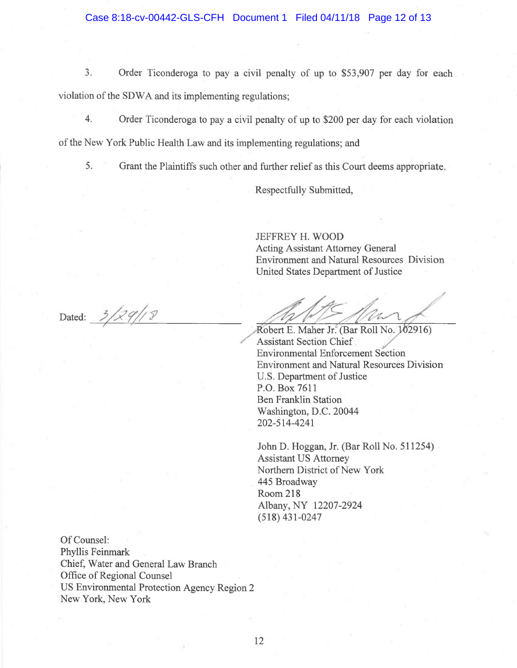Case 8:18-cv-00442-GLS-CFH Document 1 Filed 04/11/18 Page 12 of 13

3. Order Ticonderoga to pay a civil penalty of up to \$53,907 per day for each violation of the SDWA and its implementing regulations;

4. Order Ticonderoga to pay a civil penalty of up to \$200 per day for each violation

of the New York Public Health Law and its implementing regulations; and

5. Grant the Plaintiffs such other and further relief as this Court deems appropriate.

Respectfully Submitted,

/~

JEFFREY H. WOOD Acting Assistant Attorney General Environment and Natural Resources Division United States Department of Justice the the hand

A

Dated:  $3/29/18$ 

Robert E. Maher Jr. (Bar Roll No. 102916)<br>Assistant Section Chief Environmental Enforcement Section Environment and Natural Resources Division U.S. Department of Justice P.O. Box 7611 Ben Franklin Station Washington, D.C. 20044 202-514-4241

John D. Hoggan, Jr. (Bar Roll No. 511254) Assistant US Attorney Northern District of New York 445 Broadway Room 218 Albany, NY 12207-2924 (518) 431-0247

Of Counsel: Phyllis Feinmark Chief, Water and General Law Branch Office of Regional Counsel US Environmental Protection Agency Region 2 New York, New York